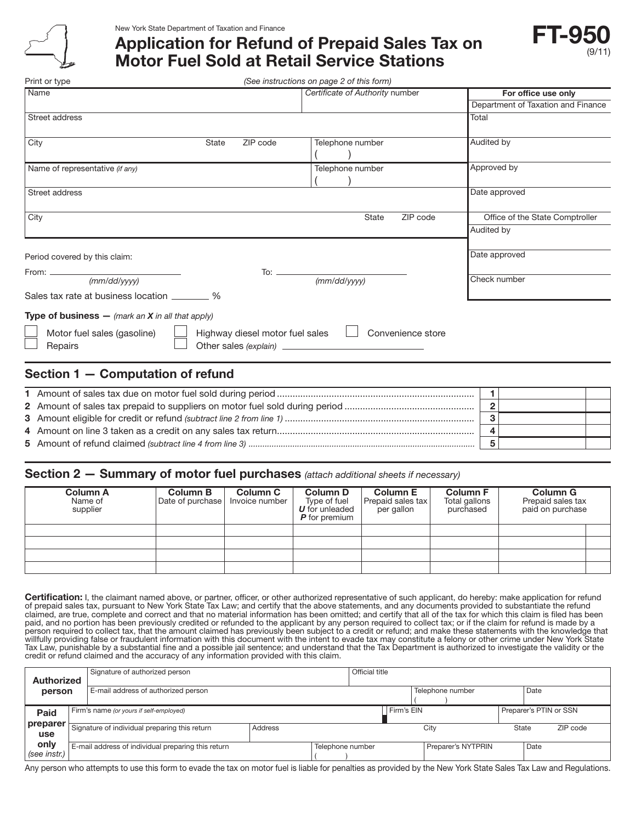

Print or type

New York State Department of Taxation and Finance

# Application for Refund of Prepaid Sales Tax on Motor Fuel Sold at Retail Service Stations



*(See instructions on page 2 of this form)*

| Name                                                      |                                 | Certificate of Authority number      | For office use only                |  |  |
|-----------------------------------------------------------|---------------------------------|--------------------------------------|------------------------------------|--|--|
|                                                           |                                 |                                      | Department of Taxation and Finance |  |  |
| Street address                                            |                                 |                                      | Total                              |  |  |
|                                                           |                                 |                                      |                                    |  |  |
| City                                                      | State<br>ZIP code               | Telephone number                     | Audited by                         |  |  |
|                                                           |                                 |                                      |                                    |  |  |
| Name of representative (if any)                           |                                 | Telephone number                     | Approved by                        |  |  |
|                                                           |                                 |                                      |                                    |  |  |
| Street address                                            |                                 |                                      | Date approved                      |  |  |
|                                                           |                                 |                                      |                                    |  |  |
| City                                                      | Office of the State Comptroller |                                      |                                    |  |  |
|                                                           |                                 |                                      | Audited by                         |  |  |
|                                                           |                                 |                                      |                                    |  |  |
| Period covered by this claim:                             |                                 |                                      | Date approved                      |  |  |
|                                                           |                                 |                                      |                                    |  |  |
|                                                           |                                 | To: $\frac{(mm/dd/yyyy)}{mmdd/yyyy}$ | Check number                       |  |  |
| Sales tax rate at business location _________ %           |                                 |                                      |                                    |  |  |
| <b>Type of business</b> — (mark an $X$ in all that apply) |                                 |                                      |                                    |  |  |
| Motor fuel sales (gasoline)                               | Highway diesel motor fuel sales | Convenience store                    |                                    |  |  |
| Repairs                                                   |                                 |                                      |                                    |  |  |
|                                                           |                                 |                                      |                                    |  |  |
| Section 1 - Computation of refund                         |                                 |                                      |                                    |  |  |

## Section 2 — Summary of motor fuel purchases *(attach additional sheets if necessary)*

| Column A<br>Name of<br>supplier | <b>Column B</b><br>Date of purchase | <b>Column C</b><br>Invoice number | <b>Column D</b><br>Type of fuel<br><b>U</b> for unleaded<br><b>P</b> for premium | <b>Column E</b><br>Prepaid sales tax<br>per gallon | <b>Column F</b><br>Total gallons<br>purchased | <b>Column G</b><br>Prepaid sales tax<br>paid on purchase |  |
|---------------------------------|-------------------------------------|-----------------------------------|----------------------------------------------------------------------------------|----------------------------------------------------|-----------------------------------------------|----------------------------------------------------------|--|
|                                 |                                     |                                   |                                                                                  |                                                    |                                               |                                                          |  |
|                                 |                                     |                                   |                                                                                  |                                                    |                                               |                                                          |  |
|                                 |                                     |                                   |                                                                                  |                                                    |                                               |                                                          |  |
|                                 |                                     |                                   |                                                                                  |                                                    |                                               |                                                          |  |

Certification: I, the claimant named above, or partner, officer, or other authorized representative of such applicant, do hereby: make application for refund<br>of prepaid sales tax, pursuant to New York State Tax Law; and ce claimed, are true, complete and correct and that no material information has been omitted; and certify that all of the tax for which this claim is filed has been paid, and no portion has been previously credited or refunded to the applicant by any person required to collect tax; or if the claim for refund is made by a person required to collect tax, that the amount claimed has previously been subject to a credit or refund; and make these statements with the knowledge that willfully providing false or fraudulent information with this document with the intent to evade tax may constitute a felony or other crime under New York State Tax Law, punishable by a substantial fine and a possible jail sentence; and understand that the Tax Department is authorized to investigate the validity or the credit or refund claimed and the accuracy of any information provided with this claim.

| <b>Authorized</b>      |                                               | Signature of authorized person                     |         |                  | Official title |                    |                        |          |
|------------------------|-----------------------------------------------|----------------------------------------------------|---------|------------------|----------------|--------------------|------------------------|----------|
| person                 |                                               | E-mail address of authorized person                |         |                  |                | Telephone number   |                        | Date     |
| Paid                   | Firm's name (or yours if self-employed)       |                                                    |         | Firm's EIN       |                |                    | Preparer's PTIN or SSN |          |
| <b>preparer</b><br>use | Signature of individual preparing this return |                                                    | Address |                  |                | City               | State                  | ZIP code |
| only<br>(see instr.)   |                                               | E-mail address of individual preparing this return |         | Telephone number |                | Preparer's NYTPRIN |                        | Date     |

Any person who attempts to use this form to evade the tax on motor fuel is liable for penalties as provided by the New York State Sales Tax Law and Regulations.